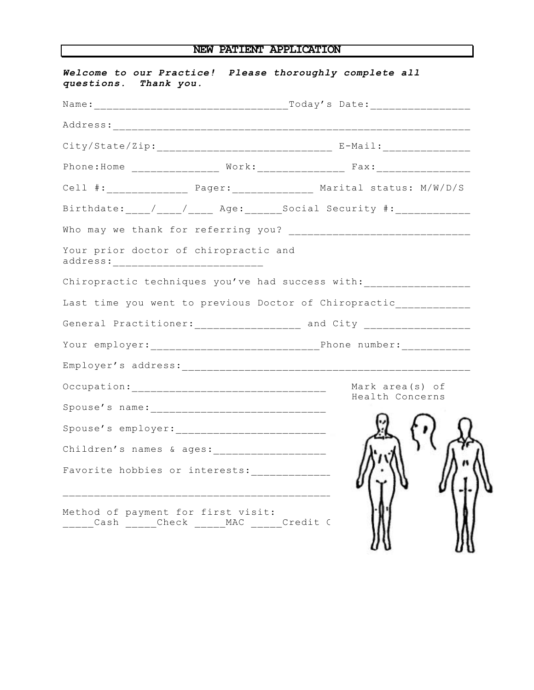## **NEW PATIENT APPLICATION**

| Welcome to our Practice! Please thoroughly complete all<br>questions. Thank you.      |  |                                                                                  |                 |  |
|---------------------------------------------------------------------------------------|--|----------------------------------------------------------------------------------|-----------------|--|
|                                                                                       |  |                                                                                  |                 |  |
|                                                                                       |  |                                                                                  |                 |  |
| City/State/Zip: ________________________________ E-Mail: _______________________      |  |                                                                                  |                 |  |
|                                                                                       |  | Phone: Home ________________ Work: ________________ Fax: _______________________ |                 |  |
|                                                                                       |  |                                                                                  |                 |  |
| Birthdate: ____/____/____ Age: _______Social Security #: ______________               |  |                                                                                  |                 |  |
|                                                                                       |  |                                                                                  |                 |  |
| Your prior doctor of chiropractic and<br>address: ____________________________        |  |                                                                                  |                 |  |
| Chiropractic techniques you've had success with: ________________________________     |  |                                                                                  |                 |  |
| Last time you went to previous Doctor of Chiropractic_____________                    |  |                                                                                  |                 |  |
|                                                                                       |  | General Practitioner: __________________ and City ___________________            |                 |  |
|                                                                                       |  |                                                                                  |                 |  |
|                                                                                       |  |                                                                                  |                 |  |
|                                                                                       |  |                                                                                  | Mark area(s) of |  |
|                                                                                       |  |                                                                                  | Health Concerns |  |
|                                                                                       |  |                                                                                  |                 |  |
|                                                                                       |  |                                                                                  |                 |  |
| Favorite hobbies or interests:                                                        |  |                                                                                  |                 |  |
| Method of payment for first visit:<br>______Cash ______Check ______MAC ______Credit C |  |                                                                                  |                 |  |